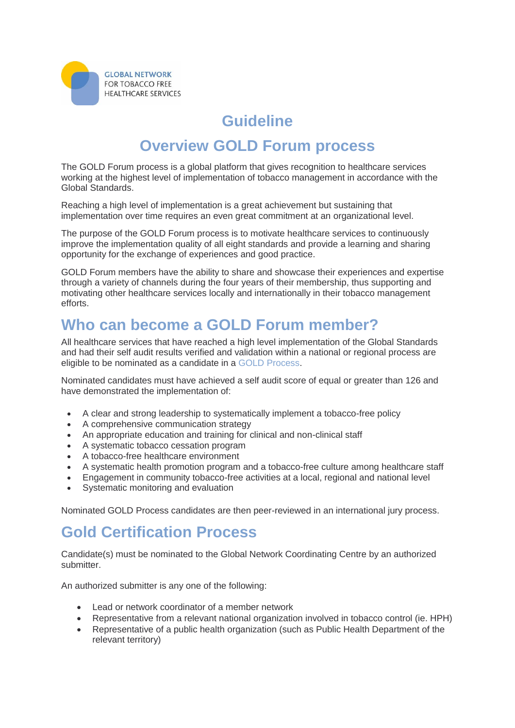

## **Guideline**

## **Overview GOLD Forum process**

The GOLD Forum process is a global platform that gives recognition to healthcare services working at the highest level of implementation of tobacco management in accordance with the Global Standards.

Reaching a high level of implementation is a great achievement but sustaining that implementation over time requires an even great commitment at an organizational level.

The purpose of the GOLD Forum process is to motivate healthcare services to continuously improve the implementation quality of all eight standards and provide a learning and sharing opportunity for the exchange of experiences and good practice.

GOLD Forum members have the ability to share and showcase their experiences and expertise through a variety of channels during the four years of their membership, thus supporting and motivating other healthcare services locally and internationally in their tobacco management efforts.

## **Who can become a GOLD Forum member?**

All healthcare services that have reached a high level implementation of the Global Standards and had their self audit results verified and validation within a national or regional process are eligible to be nominated as a candidate in a [GOLD Process.](https://www.tobaccofreehealthcare.org/gold-forum/gold-process)

Nominated candidates must have achieved a self audit score of equal or greater than 126 and have demonstrated the implementation of:

- A clear and strong leadership to systematically implement a tobacco-free policy
- A comprehensive communication strategy
- An appropriate education and training for clinical and non-clinical staff
- A systematic tobacco cessation program
- A tobacco-free healthcare environment
- A systematic health promotion program and a tobacco-free culture among healthcare staff
- Engagement in community tobacco-free activities at a local, regional and national level
- Systematic monitoring and evaluation

Nominated GOLD Process candidates are then peer-reviewed in an international jury process.

## **Gold Certification Process**

Candidate(s) must be nominated to the Global Network Coordinating Centre by an authorized submitter.

An authorized submitter is any one of the following:

- Lead or network coordinator of a member network
- Representative from a relevant national organization involved in tobacco control (ie. HPH)
- Representative of a public health organization (such as Public Health Department of the relevant territory)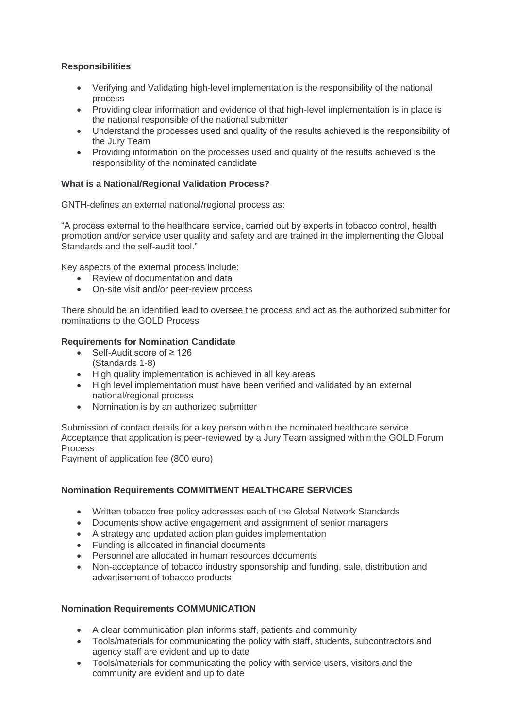### **Responsibilities**

- Verifying and Validating high-level implementation is the responsibility of the national process
- Providing clear information and evidence of that high-level implementation is in place is the national responsible of the national submitter
- Understand the processes used and quality of the results achieved is the responsibility of the Jury Team
- Providing information on the processes used and quality of the results achieved is the responsibility of the nominated candidate

#### **What is a National/Regional Validation Process?**

GNTH-defines an external national/regional process as:

"A process external to the healthcare service, carried out by experts in tobacco control, health promotion and/or service user quality and safety and are trained in the implementing the Global Standards and the self-audit tool."

Key aspects of the external process include:

- Review of documentation and data
- On-site visit and/or peer-review process

There should be an identified lead to oversee the process and act as the authorized submitter for nominations to the GOLD Process

#### **Requirements for Nomination Candidate**

- Self-Audit score of ≥ 126 (Standards 1-8)
- $\bullet$  High quality implementation is achieved in all key areas
- High level implementation must have been verified and validated by an external national/regional process
- Nomination is by an authorized submitter

Submission of contact details for a key person within the nominated healthcare service Acceptance that application is peer-reviewed by a Jury Team assigned within the GOLD Forum Process

Payment of application fee (800 euro)

### **Nomination Requirements COMMITMENT HEALTHCARE SERVICES**

- Written tobacco free policy addresses each of the Global Network Standards
- Documents show active engagement and assignment of senior managers
- A strategy and updated action plan guides implementation
- Funding is allocated in financial documents
- Personnel are allocated in human resources documents
- Non-acceptance of tobacco industry sponsorship and funding, sale, distribution and advertisement of tobacco products

#### **Nomination Requirements COMMUNICATION**

- A clear communication plan informs staff, patients and community
- Tools/materials for communicating the policy with staff, students, subcontractors and agency staff are evident and up to date
- Tools/materials for communicating the policy with service users, visitors and the community are evident and up to date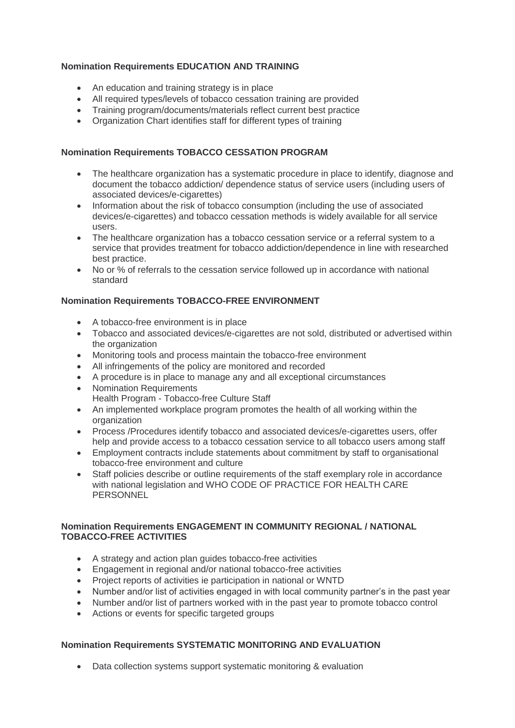### **Nomination Requirements EDUCATION AND TRAINING**

- An education and training strategy is in place
- All required types/levels of tobacco cessation training are provided
- Training program/documents/materials reflect current best practice
- Organization Chart identifies staff for different types of training

### **Nomination Requirements TOBACCO CESSATION PROGRAM**

- The healthcare organization has a systematic procedure in place to identify, diagnose and document the tobacco addiction/ dependence status of service users (including users of associated devices/e-cigarettes)
- Information about the risk of tobacco consumption (including the use of associated devices/e-cigarettes) and tobacco cessation methods is widely available for all service users.
- The healthcare organization has a tobacco cessation service or a referral system to a service that provides treatment for tobacco addiction/dependence in line with researched best practice.
- No or % of referrals to the cessation service followed up in accordance with national standard

### **Nomination Requirements TOBACCO-FREE ENVIRONMENT**

- A tobacco-free environment is in place
- Tobacco and associated devices/e-cigarettes are not sold, distributed or advertised within the organization
- Monitoring tools and process maintain the tobacco-free environment
- All infringements of the policy are monitored and recorded
- A procedure is in place to manage any and all exceptional circumstances
- Nomination Requirements
- Health Program Tobacco-free Culture Staff
- An implemented workplace program promotes the health of all working within the organization
- Process /Procedures identify tobacco and associated devices/e-cigarettes users, offer help and provide access to a tobacco cessation service to all tobacco users among staff
- Employment contracts include statements about commitment by staff to organisational tobacco-free environment and culture
- Staff policies describe or outline requirements of the staff exemplary role in accordance with national legislation and WHO CODE OF PRACTICE FOR HEALTH CARE **PERSONNEL**

### **Nomination Requirements ENGAGEMENT IN COMMUNITY REGIONAL / NATIONAL TOBACCO-FREE ACTIVITIES**

- A strategy and action plan guides tobacco-free activities
- Engagement in regional and/or national tobacco-free activities
- Project reports of activities ie participation in national or WNTD
- Number and/or list of activities engaged in with local community partner's in the past year
- Number and/or list of partners worked with in the past year to promote tobacco control
- Actions or events for specific targeted groups

### **Nomination Requirements SYSTEMATIC MONITORING AND EVALUATION**

• Data collection systems support systematic monitoring & evaluation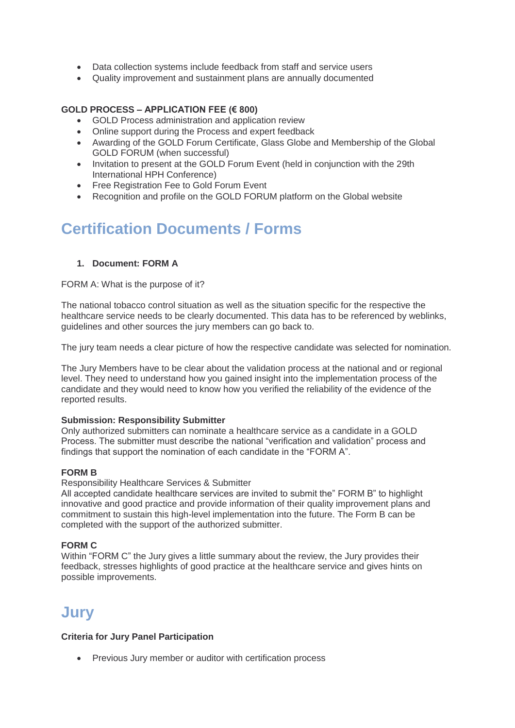- Data collection systems include feedback from staff and service users
- Quality improvement and sustainment plans are annually documented

#### **GOLD PROCESS – APPLICATION FEE (€ 800)**

- GOLD Process administration and application review
- Online support during the Process and expert feedback
- Awarding of the GOLD Forum Certificate, Glass Globe and Membership of the Global GOLD FORUM (when successful)
- Invitation to present at the GOLD Forum Event (held in conjunction with the 29th International HPH Conference)
- Free Registration Fee to Gold Forum Event
- Recognition and profile on the GOLD FORUM platform on the Global website

# **Certification Documents / Forms**

#### **1. Document: FORM A**

#### FORM A: What is the purpose of it?

The national tobacco control situation as well as the situation specific for the respective the healthcare service needs to be clearly documented. This data has to be referenced by weblinks, guidelines and other sources the jury members can go back to.

The jury team needs a clear picture of how the respective candidate was selected for nomination.

The Jury Members have to be clear about the validation process at the national and or regional level. They need to understand how you gained insight into the implementation process of the candidate and they would need to know how you verified the reliability of the evidence of the reported results.

#### **Submission: Responsibility Submitter**

Only authorized submitters can nominate a healthcare service as a candidate in a GOLD Process. The submitter must describe the national "verification and validation" process and findings that support the nomination of each candidate in the "FORM A".

#### **FORM B**

Responsibility Healthcare Services & Submitter

All accepted candidate healthcare services are invited to submit the" FORM B" to highlight innovative and good practice and provide information of their quality improvement plans and commitment to sustain this high-level implementation into the future. The Form B can be completed with the support of the authorized submitter.

#### **FORM C**

Within "FORM C" the Jury gives a little summary about the review, the Jury provides their feedback, stresses highlights of good practice at the healthcare service and gives hints on possible improvements.

### **Jury**

#### **Criteria for Jury Panel Participation**

Previous Jury member or auditor with certification process